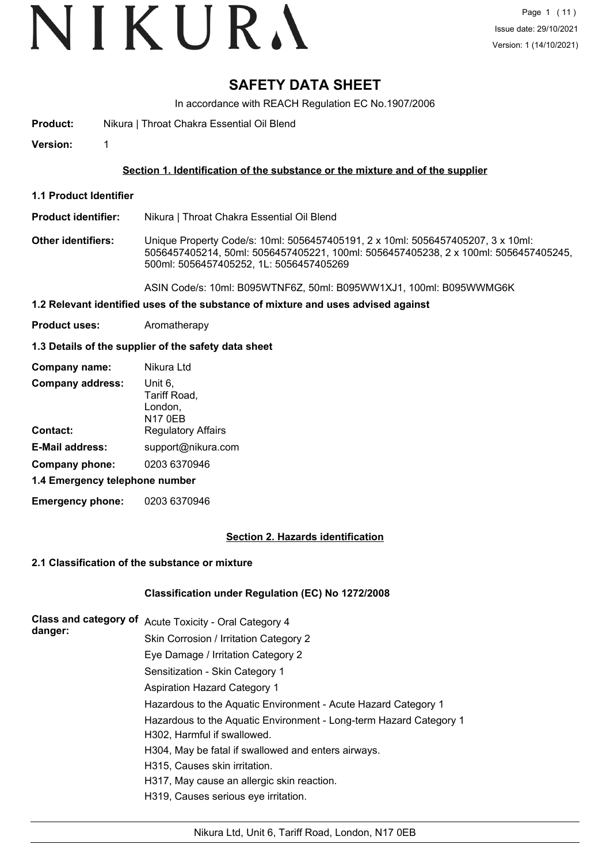# VIKURA

### **SAFETY DATA SHEET**

In accordance with REACH Regulation EC No.1907/2006

**Product:** Nikura | Throat Chakra Essential Oil Blend

**Version:** 1

#### **Section 1. Identification of the substance or the mixture and of the supplier**

**1.1 Product Identifier**

**Product identifier:** Nikura | Throat Chakra Essential Oil Blend

**Other identifiers:** Unique Property Code/s: 10ml: 5056457405191, 2 x 10ml: 5056457405207, 3 x 10ml: 5056457405214, 50ml: 5056457405221, 100ml: 5056457405238, 2 x 100ml: 5056457405245, 500ml: 5056457405252, 1L: 5056457405269

ASIN Code/s: 10ml: B095WTNF6Z, 50ml: B095WW1XJ1, 100ml: B095WWMG6K

#### **1.2 Relevant identified uses of the substance of mixture and uses advised against**

**Product uses:** Aromatherapy

#### **1.3 Details of the supplier of the safety data sheet**

| Company name:                  | Nikura Ltd                         |
|--------------------------------|------------------------------------|
| <b>Company address:</b>        | Unit 6,<br>Tariff Road,<br>London, |
|                                | <b>N17 0EB</b>                     |
| Contact:                       | <b>Regulatory Affairs</b>          |
| <b>E-Mail address:</b>         | support@nikura.com                 |
| Company phone:                 | 0203 6370946                       |
| 1.4 Emergency telephone number |                                    |

**Emergency phone:** 0203 6370946

#### **Section 2. Hazards identification**

#### **2.1 Classification of the substance or mixture**

#### **Classification under Regulation (EC) No 1272/2008**

| Class and category of<br>danger: | Acute Toxicity - Oral Category 4                                   |
|----------------------------------|--------------------------------------------------------------------|
|                                  | Skin Corrosion / Irritation Category 2                             |
|                                  | Eye Damage / Irritation Category 2                                 |
|                                  | Sensitization - Skin Category 1                                    |
|                                  | <b>Aspiration Hazard Category 1</b>                                |
|                                  | Hazardous to the Aquatic Environment - Acute Hazard Category 1     |
|                                  | Hazardous to the Aquatic Environment - Long-term Hazard Category 1 |
|                                  | H302, Harmful if swallowed.                                        |
|                                  | H304, May be fatal if swallowed and enters airways.                |
|                                  | H315, Causes skin irritation.                                      |
|                                  | H317, May cause an allergic skin reaction.                         |
|                                  | H319, Causes serious eye irritation.                               |
|                                  |                                                                    |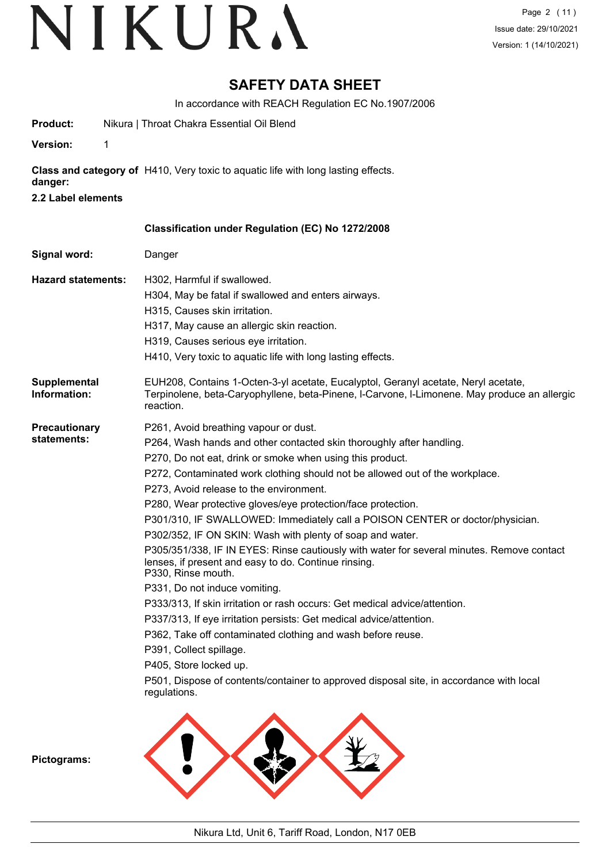### **SAFETY DATA SHEET**

In accordance with REACH Regulation EC No.1907/2006

- **Product:** Nikura | Throat Chakra Essential Oil Blend
- **Version:** 1

**Class and category of** H410, Very toxic to aquatic life with long lasting effects.

- **danger:**
- **2.2 Label elements**

| Danger                                                                                                                                                                                          |
|-------------------------------------------------------------------------------------------------------------------------------------------------------------------------------------------------|
|                                                                                                                                                                                                 |
| H302. Harmful if swallowed.<br>H304, May be fatal if swallowed and enters airways.                                                                                                              |
| H315, Causes skin irritation.                                                                                                                                                                   |
|                                                                                                                                                                                                 |
| H317, May cause an allergic skin reaction.                                                                                                                                                      |
| H319, Causes serious eye irritation.<br>H410, Very toxic to aquatic life with long lasting effects.                                                                                             |
| EUH208, Contains 1-Octen-3-yl acetate, Eucalyptol, Geranyl acetate, Neryl acetate,<br>Terpinolene, beta-Caryophyllene, beta-Pinene, I-Carvone, I-Limonene. May produce an allergic<br>reaction. |
| P261, Avoid breathing vapour or dust.                                                                                                                                                           |
| P264, Wash hands and other contacted skin thoroughly after handling.                                                                                                                            |
| P270, Do not eat, drink or smoke when using this product.                                                                                                                                       |
| P272, Contaminated work clothing should not be allowed out of the workplace.                                                                                                                    |
| P273, Avoid release to the environment.                                                                                                                                                         |
| P280, Wear protective gloves/eye protection/face protection.                                                                                                                                    |
| P301/310, IF SWALLOWED: Immediately call a POISON CENTER or doctor/physician.                                                                                                                   |
| P302/352, IF ON SKIN: Wash with plenty of soap and water.                                                                                                                                       |
| P305/351/338, IF IN EYES: Rinse cautiously with water for several minutes. Remove contact<br>lenses, if present and easy to do. Continue rinsing.<br>P330, Rinse mouth.                         |
| P331, Do not induce vomiting.                                                                                                                                                                   |
| P333/313, If skin irritation or rash occurs: Get medical advice/attention.                                                                                                                      |
| P337/313, If eye irritation persists: Get medical advice/attention.                                                                                                                             |
| P362, Take off contaminated clothing and wash before reuse.                                                                                                                                     |
| P391, Collect spillage.                                                                                                                                                                         |
| P405, Store locked up.                                                                                                                                                                          |
| P501, Dispose of contents/container to approved disposal site, in accordance with local<br>regulations.                                                                                         |
|                                                                                                                                                                                                 |

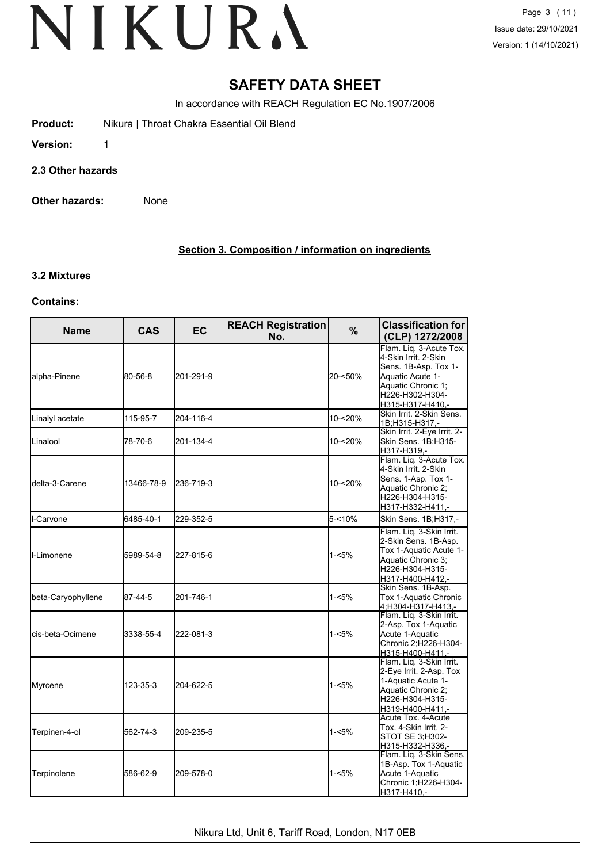### **SAFETY DATA SHEET**

In accordance with REACH Regulation EC No.1907/2006

- **Product:** Nikura | Throat Chakra Essential Oil Blend
- **Version:** 1
- **2.3 Other hazards**
- **Other hazards:** None

#### **Section 3. Composition / information on ingredients**

#### **3.2 Mixtures**

#### **Contains:**

| <b>Name</b>         | <b>CAS</b> | <b>EC</b> | <b>REACH Registration</b><br>No. | %        | <b>Classification for</b><br>(CLP) 1272/2008                                                                                                             |
|---------------------|------------|-----------|----------------------------------|----------|----------------------------------------------------------------------------------------------------------------------------------------------------------|
| alpha-Pinene        | 80-56-8    | 201-291-9 |                                  | 20-<50%  | Flam. Liq. 3-Acute Tox.<br>4-Skin Irrit, 2-Skin<br>Sens. 1B-Asp. Tox 1-<br>Aquatic Acute 1-<br>Aquatic Chronic 1;<br>H226-H302-H304-<br>H315-H317-H410,- |
| Linalyl acetate     | 115-95-7   | 204-116-4 |                                  | 10-<20%  | Skin Irrit. 2-Skin Sens.<br>1B:H315-H317.-                                                                                                               |
| Linalool            | 78-70-6    | 201-134-4 |                                  | 10-<20%  | Skin Irrit. 2-Eye Irrit. 2-<br>Skin Sens. 1B;H315-<br>H317-H319.-                                                                                        |
| ldelta-3-Carene     | 13466-78-9 | 236-719-3 |                                  | 10-<20%  | Flam. Liq. 3-Acute Tox.<br>4-Skin Irrit. 2-Skin<br>Sens. 1-Asp. Tox 1-<br>Aquatic Chronic 2;<br>H226-H304-H315-<br>H317-H332-H411,-                      |
| I-Carvone           | 6485-40-1  | 229-352-5 |                                  | 5-<10%   | Skin Sens. 1B;H317,-                                                                                                                                     |
| <b>I</b> I-Limonene | 5989-54-8  | 227-815-6 |                                  | $1 - 5%$ | Flam. Liq. 3-Skin Irrit.<br>2-Skin Sens. 1B-Asp.<br>Tox 1-Aquatic Acute 1-<br>Aquatic Chronic 3;<br>H226-H304-H315-<br>H317-H400-H412,-                  |
| beta-Caryophyllene  | 87-44-5    | 201-746-1 |                                  | $1 - 5%$ | Skin Sens. 1B-Asp.<br>Tox 1-Aquatic Chronic<br>4;H304-H317-H413,-                                                                                        |
| lcis-beta-Ocimene   | 3338-55-4  | 222-081-3 |                                  | $1 - 5%$ | Flam. Lig. 3-Skin Irrit.<br>2-Asp. Tox 1-Aquatic<br>Acute 1-Aquatic<br>Chronic 2; H226-H304-<br>H315-H400-H411,-                                         |
| Myrcene             | 123-35-3   | 204-622-5 |                                  | $1 - 5%$ | Flam. Liq. 3-Skin Irrit.<br>2-Eye Irrit. 2-Asp. Tox<br>1-Aquatic Acute 1-<br>Aquatic Chronic 2;<br>H226-H304-H315-<br>H319-H400-H411,-                   |
| Terpinen-4-ol       | 562-74-3   | 209-235-5 |                                  | $1 - 5%$ | Acute Tox. 4-Acute<br>Tox. 4-Skin Irrit. 2-<br>STOT SE 3:H302-<br>H315-H332-H336,-                                                                       |
| Terpinolene         | 586-62-9   | 209-578-0 |                                  | $1 - 5%$ | Flam. Liq. 3-Skin Sens.<br>1B-Asp. Tox 1-Aquatic<br>Acute 1-Aquatic<br>Chronic 1; H226-H304-<br>H317-H410,-                                              |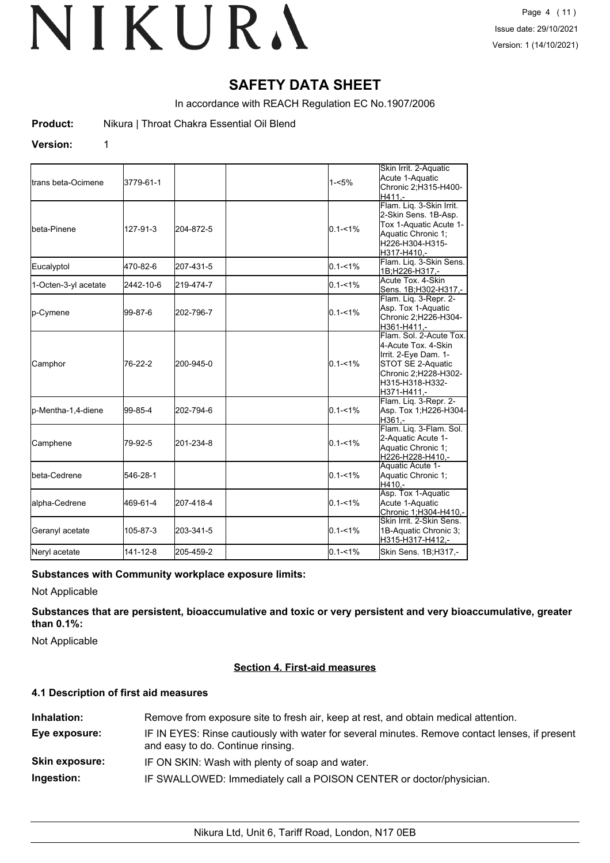### **SAFETY DATA SHEET**

In accordance with REACH Regulation EC No.1907/2006

**Product:** Nikura | Throat Chakra Essential Oil Blend

#### **Version:** 1

|                             |           |           |             | Skin Irrit. 2-Aquatic                                                                                                                                 |
|-----------------------------|-----------|-----------|-------------|-------------------------------------------------------------------------------------------------------------------------------------------------------|
| <b>I</b> trans beta-Ocimene | 3779-61-1 |           | $1 - 5%$    | Acute 1-Aquatic<br>Chronic 2;H315-H400-<br>H411 -                                                                                                     |
| Ibeta-Pinene                | 127-91-3  | 204-872-5 | $0.1 - 1%$  | Flam. Liq. 3-Skin Irrit.<br>2-Skin Sens. 1B-Asp.<br>Tox 1-Aquatic Acute 1-<br>Aquatic Chronic 1;<br>H226-H304-H315-<br>H317-H410,-                    |
| Eucalyptol                  | 470-82-6  | 207-431-5 | $0.1 - 1\%$ | Flam. Liq. 3-Skin Sens.<br>1B;H226-H317,-                                                                                                             |
| 1-Octen-3-yl acetate        | 2442-10-6 | 219-474-7 | $0.1 - 1\%$ | Acute Tox. 4-Skin<br>Sens. 1B;H302-H317,-                                                                                                             |
| p-Cymene                    | 99-87-6   | 202-796-7 | $0.1 - 1\%$ | Flam. Liq. 3-Repr. 2-<br>Asp. Tox 1-Aquatic<br>Chronic 2; H226-H304-<br>H361-H411,-                                                                   |
| Camphor                     | 76-22-2   | 200-945-0 | $0.1 - 1\%$ | Flam. Sol. 2-Acute Tox.<br>4-Acute Tox. 4-Skin<br>Irrit. 2-Eye Dam. 1-<br>STOT SE 2-Aquatic<br>Chronic 2;H228-H302-<br>H315-H318-H332-<br>H371-H411,- |
| p-Mentha-1,4-diene          | 99-85-4   | 202-794-6 | $0.1 - 1\%$ | Flam. Liq. 3-Repr. 2-<br>Asp. Tox 1; H226-H304-<br>H361.-                                                                                             |
| Camphene                    | 79-92-5   | 201-234-8 | $0.1 - 1\%$ | Flam. Liq. 3-Flam. Sol.<br>2-Aquatic Acute 1-<br>Aquatic Chronic 1;<br>H226-H228-H410.-                                                               |
| <b>I</b> beta-Cedrene       | 546-28-1  |           | $0.1 - 1\%$ | Aquatic Acute 1-<br>Aquatic Chronic 1;<br>H410.-                                                                                                      |
| alpha-Cedrene               | 469-61-4  | 207-418-4 | $0.1 - 1\%$ | Asp. Tox 1-Aquatic<br>Acute 1-Aquatic<br>Chronic 1; H304-H410,-                                                                                       |
| Geranyl acetate             | 105-87-3  | 203-341-5 | $0.1 - 1\%$ | Skin Irrit, 2-Skin Sens.<br>1B-Aquatic Chronic 3;<br>H315-H317-H412,-                                                                                 |
| Neryl acetate               | 141-12-8  | 205-459-2 | $0.1 - 1\%$ | Skin Sens. 1B;H317,-                                                                                                                                  |

#### **Substances with Community workplace exposure limits:**

Not Applicable

**Substances that are persistent, bioaccumulative and toxic or very persistent and very bioaccumulative, greater than 0.1%:**

Not Applicable

#### **Section 4. First-aid measures**

#### **4.1 Description of first aid measures**

| Inhalation:           | Remove from exposure site to fresh air, keep at rest, and obtain medical attention.                                                 |
|-----------------------|-------------------------------------------------------------------------------------------------------------------------------------|
| Eye exposure:         | IF IN EYES: Rinse cautiously with water for several minutes. Remove contact lenses, if present<br>and easy to do. Continue rinsing. |
| <b>Skin exposure:</b> | IF ON SKIN: Wash with plenty of soap and water.                                                                                     |
| Ingestion:            | IF SWALLOWED: Immediately call a POISON CENTER or doctor/physician.                                                                 |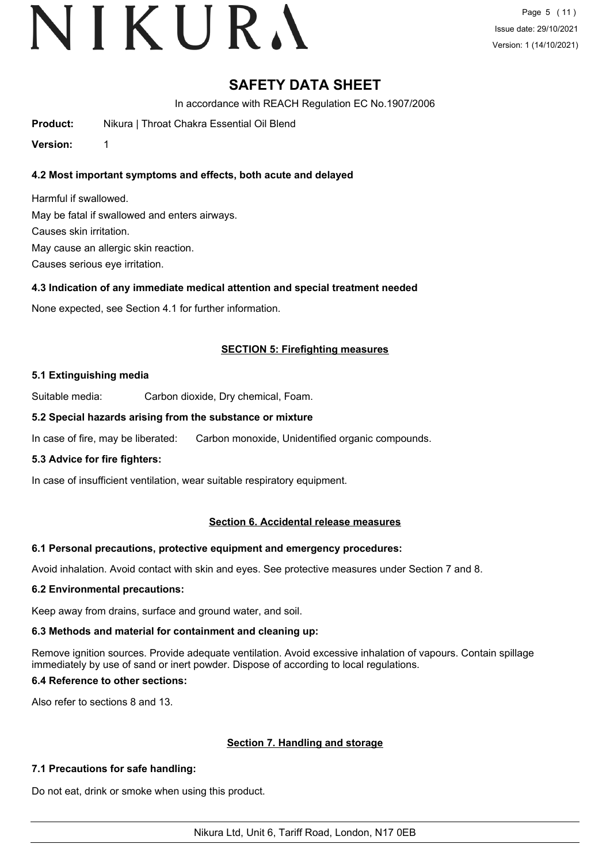Page 5 (11) Issue date: 29/10/2021 Version: 1 (14/10/2021)

### **SAFETY DATA SHEET**

In accordance with REACH Regulation EC No.1907/2006

**Product:** Nikura | Throat Chakra Essential Oil Blend

**Version:** 1

#### **4.2 Most important symptoms and effects, both acute and delayed**

Harmful if swallowed. May be fatal if swallowed and enters airways. Causes skin irritation. May cause an allergic skin reaction. Causes serious eye irritation.

#### **4.3 Indication of any immediate medical attention and special treatment needed**

None expected, see Section 4.1 for further information.

#### **SECTION 5: Firefighting measures**

#### **5.1 Extinguishing media**

Suitable media: Carbon dioxide, Dry chemical, Foam.

#### **5.2 Special hazards arising from the substance or mixture**

In case of fire, may be liberated: Carbon monoxide, Unidentified organic compounds.

#### **5.3 Advice for fire fighters:**

In case of insufficient ventilation, wear suitable respiratory equipment.

#### **Section 6. Accidental release measures**

#### **6.1 Personal precautions, protective equipment and emergency procedures:**

Avoid inhalation. Avoid contact with skin and eyes. See protective measures under Section 7 and 8.

#### **6.2 Environmental precautions:**

Keep away from drains, surface and ground water, and soil.

#### **6.3 Methods and material for containment and cleaning up:**

Remove ignition sources. Provide adequate ventilation. Avoid excessive inhalation of vapours. Contain spillage immediately by use of sand or inert powder. Dispose of according to local regulations.

#### **6.4 Reference to other sections:**

Also refer to sections 8 and 13.

#### **Section 7. Handling and storage**

#### **7.1 Precautions for safe handling:**

Do not eat, drink or smoke when using this product.

Nikura Ltd, Unit 6, Tariff Road, London, N17 0EB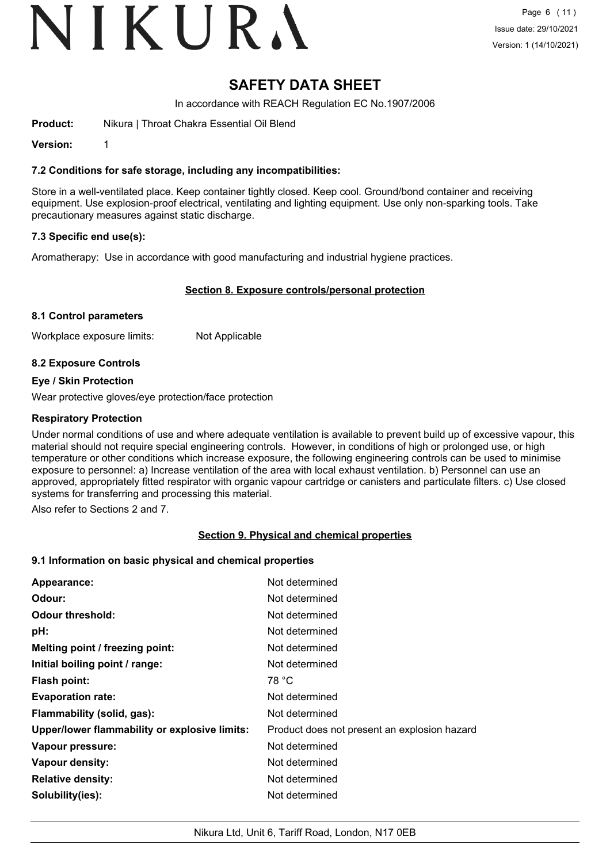# VIKURA

### **SAFETY DATA SHEET**

In accordance with REACH Regulation EC No.1907/2006

**Product:** Nikura | Throat Chakra Essential Oil Blend

**Version:** 1

#### **7.2 Conditions for safe storage, including any incompatibilities:**

Store in a well-ventilated place. Keep container tightly closed. Keep cool. Ground/bond container and receiving equipment. Use explosion-proof electrical, ventilating and lighting equipment. Use only non-sparking tools. Take precautionary measures against static discharge.

#### **7.3 Specific end use(s):**

Aromatherapy: Use in accordance with good manufacturing and industrial hygiene practices.

#### **Section 8. Exposure controls/personal protection**

#### **8.1 Control parameters**

Workplace exposure limits: Not Applicable

#### **8.2 Exposure Controls**

#### **Eye / Skin Protection**

Wear protective gloves/eye protection/face protection

#### **Respiratory Protection**

Under normal conditions of use and where adequate ventilation is available to prevent build up of excessive vapour, this material should not require special engineering controls. However, in conditions of high or prolonged use, or high temperature or other conditions which increase exposure, the following engineering controls can be used to minimise exposure to personnel: a) Increase ventilation of the area with local exhaust ventilation. b) Personnel can use an approved, appropriately fitted respirator with organic vapour cartridge or canisters and particulate filters. c) Use closed systems for transferring and processing this material.

Also refer to Sections 2 and 7.

#### **Section 9. Physical and chemical properties**

#### **9.1 Information on basic physical and chemical properties**

| Appearance:                                   | Not determined                               |
|-----------------------------------------------|----------------------------------------------|
| Odour:                                        | Not determined                               |
| <b>Odour threshold:</b>                       | Not determined                               |
| pH:                                           | Not determined                               |
| Melting point / freezing point:               | Not determined                               |
| Initial boiling point / range:                | Not determined                               |
| <b>Flash point:</b>                           | 78 °C                                        |
| <b>Evaporation rate:</b>                      | Not determined                               |
| Flammability (solid, gas):                    | Not determined                               |
| Upper/lower flammability or explosive limits: | Product does not present an explosion hazard |
| Vapour pressure:                              | Not determined                               |
| Vapour density:                               | Not determined                               |
| <b>Relative density:</b>                      | Not determined                               |
| Solubility(ies):                              | Not determined                               |
|                                               |                                              |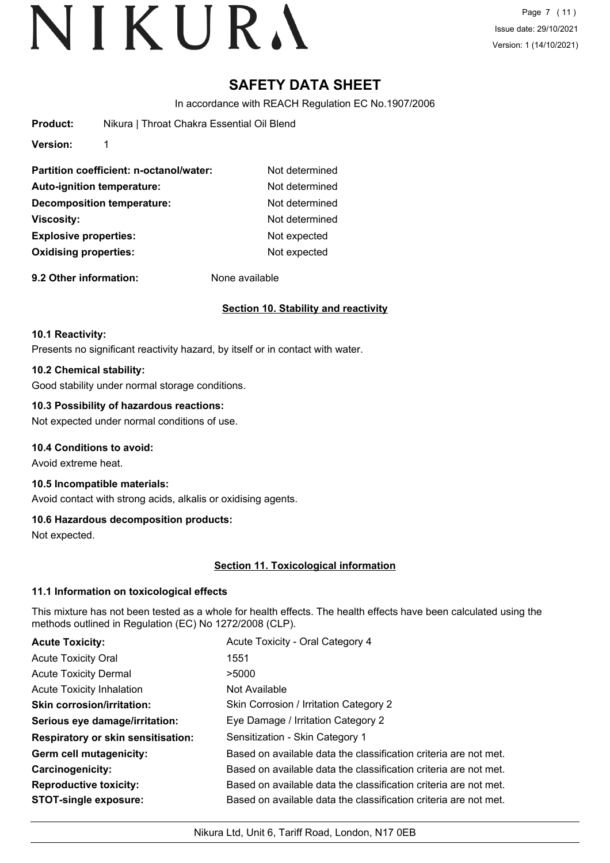Page 7 (11) Issue date: 29/10/2021 Version: 1 (14/10/2021)

### **SAFETY DATA SHEET**

In accordance with REACH Regulation EC No.1907/2006

| Product: | Nikura   Throat Chakra Essential Oil Blend |
|----------|--------------------------------------------|
| Version: |                                            |

| Partition coefficient: n-octanol/water: | Not determined |
|-----------------------------------------|----------------|
| Auto-ignition temperature:              | Not determined |
| <b>Decomposition temperature:</b>       | Not determined |
| <b>Viscosity:</b>                       | Not determined |
| <b>Explosive properties:</b>            | Not expected   |
| <b>Oxidising properties:</b>            | Not expected   |
|                                         |                |

**9.2 Other information:** None available

### **Section 10. Stability and reactivity**

#### **10.1 Reactivity:**

Presents no significant reactivity hazard, by itself or in contact with water.

#### **10.2 Chemical stability:**

Good stability under normal storage conditions.

#### **10.3 Possibility of hazardous reactions:**

Not expected under normal conditions of use.

#### **10.4 Conditions to avoid:**

Avoid extreme heat.

### **10.5 Incompatible materials:**

Avoid contact with strong acids, alkalis or oxidising agents.

#### **10.6 Hazardous decomposition products:**

Not expected.

#### **Section 11. Toxicological information**

#### **11.1 Information on toxicological effects**

This mixture has not been tested as a whole for health effects. The health effects have been calculated using the methods outlined in Regulation (EC) No 1272/2008 (CLP).

| <b>Acute Toxicity:</b>                    | Acute Toxicity - Oral Category 4                                 |
|-------------------------------------------|------------------------------------------------------------------|
| <b>Acute Toxicity Oral</b>                | 1551                                                             |
| <b>Acute Toxicity Dermal</b>              | >5000                                                            |
| <b>Acute Toxicity Inhalation</b>          | Not Available                                                    |
| <b>Skin corrosion/irritation:</b>         | Skin Corrosion / Irritation Category 2                           |
| Serious eye damage/irritation:            | Eye Damage / Irritation Category 2                               |
| <b>Respiratory or skin sensitisation:</b> | Sensitization - Skin Category 1                                  |
| Germ cell mutagenicity:                   | Based on available data the classification criteria are not met. |
| <b>Carcinogenicity:</b>                   | Based on available data the classification criteria are not met. |
| <b>Reproductive toxicity:</b>             | Based on available data the classification criteria are not met. |
| <b>STOT-single exposure:</b>              | Based on available data the classification criteria are not met. |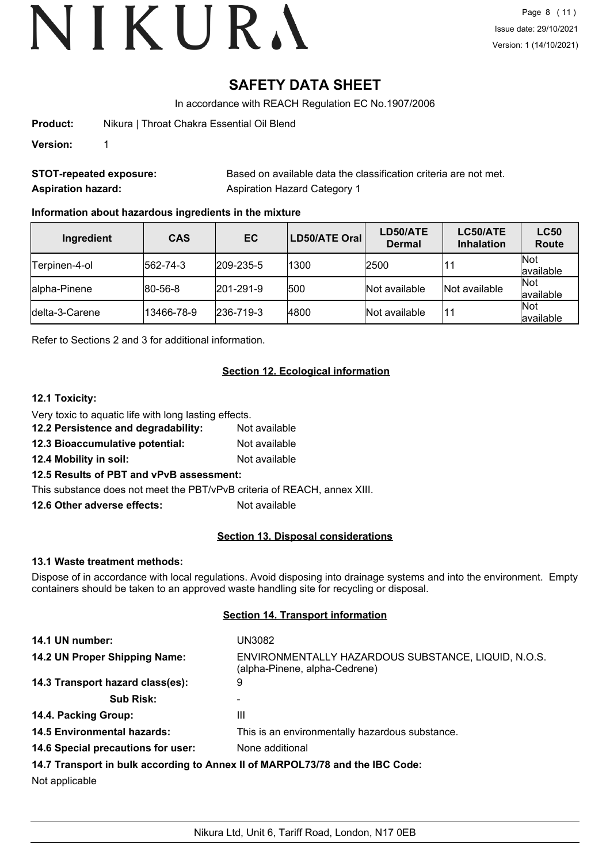## **SAFETY DATA SHEET**

In accordance with REACH Regulation EC No.1907/2006

**Product:** Nikura | Throat Chakra Essential Oil Blend

**Version:** 1

**STOT-repeated exposure:** Based on available data the classification criteria are not met. **Aspiration hazard:** Aspiration Hazard Category 1

#### **Information about hazardous ingredients in the mixture**

| Ingredient      | <b>CAS</b>       | EC                | <b>LD50/ATE Oral</b> | LD50/ATE<br><b>Dermal</b> | LC50/ATE<br><b>Inhalation</b> | <b>LC50</b><br><b>Route</b> |
|-----------------|------------------|-------------------|----------------------|---------------------------|-------------------------------|-----------------------------|
| Terpinen-4-ol   | $ 562 - 74 - 3 $ | $ 209 - 235 - 5 $ | 1300                 | 2500                      |                               | Not<br>available            |
| alpha-Pinene    | $ 80 - 56 - 8 $  | $ 201 - 291 - 9 $ | 500                  | Not available             | Not available                 | Not<br>available            |
| Idelta-3-Carene | 13466-78-9       | $ 236 - 719 - 3 $ | 4800                 | Not available             | 11                            | Not<br>available            |

Refer to Sections 2 and 3 for additional information.

#### **Section 12. Ecological information**

#### **12.1 Toxicity:**

- Very toxic to aquatic life with long lasting effects.
- **12.2 Persistence and degradability:** Not available
- **12.3 Bioaccumulative potential:** Not available
- **12.4 Mobility in soil:** Not available

#### **12.5 Results of PBT and vPvB assessment:**

This substance does not meet the PBT/vPvB criteria of REACH, annex XIII.

**12.6 Other adverse effects:** Not available

#### **Section 13. Disposal considerations**

#### **13.1 Waste treatment methods:**

Dispose of in accordance with local regulations. Avoid disposing into drainage systems and into the environment. Empty containers should be taken to an approved waste handling site for recycling or disposal.

#### **Section 14. Transport information**

| 14.1 UN number:                    | UN3082                                                                               |
|------------------------------------|--------------------------------------------------------------------------------------|
| 14.2 UN Proper Shipping Name:      | ENVIRONMENTALLY HAZARDOUS SUBSTANCE, LIQUID, N.O.S.<br>(alpha-Pinene, alpha-Cedrene) |
| 14.3 Transport hazard class(es):   | 9                                                                                    |
| <b>Sub Risk:</b>                   |                                                                                      |
| 14.4. Packing Group:               | Ш                                                                                    |
| <b>14.5 Environmental hazards:</b> | This is an environmentally hazardous substance.                                      |
| 14.6 Special precautions for user: | None additional                                                                      |
|                                    | 14.7 Transport in bulk according to Annex II of MARPOL73/78 and the IBC Code:        |

Not applicable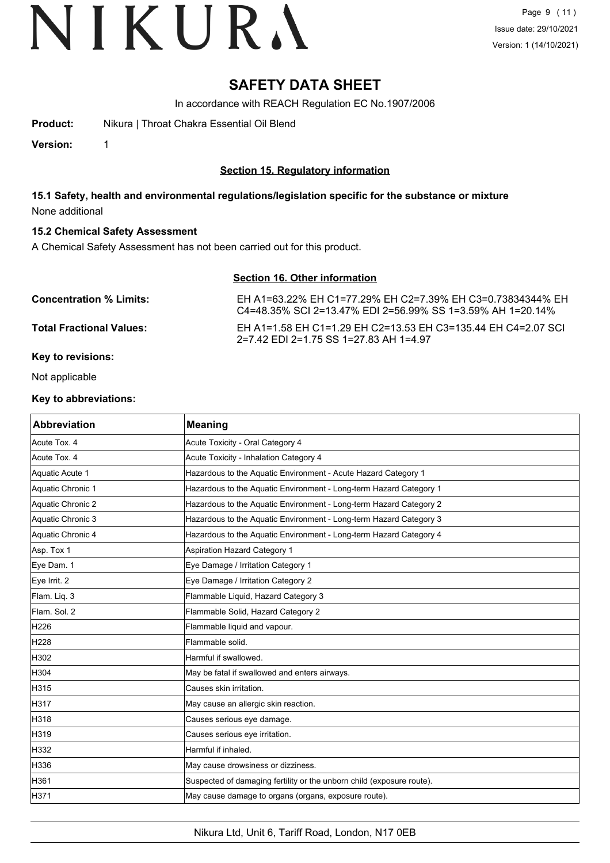### **SAFETY DATA SHEET**

In accordance with REACH Regulation EC No.1907/2006

**Product:** Nikura | Throat Chakra Essential Oil Blend

**Version:** 1

#### **Section 15. Regulatory information**

**15.1 Safety, health and environmental regulations/legislation specific for the substance or mixture** None additional

#### **15.2 Chemical Safety Assessment**

A Chemical Safety Assessment has not been carried out for this product.

#### **Section 16. Other information**

| <b>Concentration % Limits:</b>  | EH A1=63.22% EH C1=77.29% EH C2=7.39% EH C3=0.73834344% EH<br>C4=48.35% SCI 2=13.47% EDI 2=56.99% SS 1=3.59% AH 1=20.14% |
|---------------------------------|--------------------------------------------------------------------------------------------------------------------------|
| <b>Total Fractional Values:</b> | EH A1=1.58 EH C1=1.29 EH C2=13.53 EH C3=135.44 EH C4=2.07 SCI<br>2=7.42 EDI 2=1.75 SS 1=27.83 AH 1=4.97                  |
| <b>Key to revisions:</b>        |                                                                                                                          |

Not applicable

#### **Key to abbreviations:**

| <b>Abbreviation</b> | <b>Meaning</b>                                                        |
|---------------------|-----------------------------------------------------------------------|
| Acute Tox. 4        | Acute Toxicity - Oral Category 4                                      |
| Acute Tox. 4        | Acute Toxicity - Inhalation Category 4                                |
| Aquatic Acute 1     | Hazardous to the Aquatic Environment - Acute Hazard Category 1        |
| Aquatic Chronic 1   | Hazardous to the Aquatic Environment - Long-term Hazard Category 1    |
| Aquatic Chronic 2   | Hazardous to the Aquatic Environment - Long-term Hazard Category 2    |
| Aquatic Chronic 3   | Hazardous to the Aquatic Environment - Long-term Hazard Category 3    |
| Aquatic Chronic 4   | Hazardous to the Aquatic Environment - Long-term Hazard Category 4    |
| Asp. Tox 1          | Aspiration Hazard Category 1                                          |
| Eye Dam. 1          | Eye Damage / Irritation Category 1                                    |
| Eye Irrit. 2        | Eye Damage / Irritation Category 2                                    |
| Flam. Liq. 3        | Flammable Liquid, Hazard Category 3                                   |
| Flam. Sol. 2        | Flammable Solid, Hazard Category 2                                    |
| H226                | Flammable liquid and vapour.                                          |
| H228                | Flammable solid.                                                      |
| H302                | Harmful if swallowed.                                                 |
| H304                | May be fatal if swallowed and enters airways.                         |
| H315                | lCauses skin irritation.                                              |
| H317                | May cause an allergic skin reaction.                                  |
| H318                | Causes serious eye damage.                                            |
| H319                | Causes serious eye irritation.                                        |
| H332                | Harmful if inhaled.                                                   |
| H336                | May cause drowsiness or dizziness.                                    |
| H361                | Suspected of damaging fertility or the unborn child (exposure route). |
| H371                | May cause damage to organs (organs, exposure route).                  |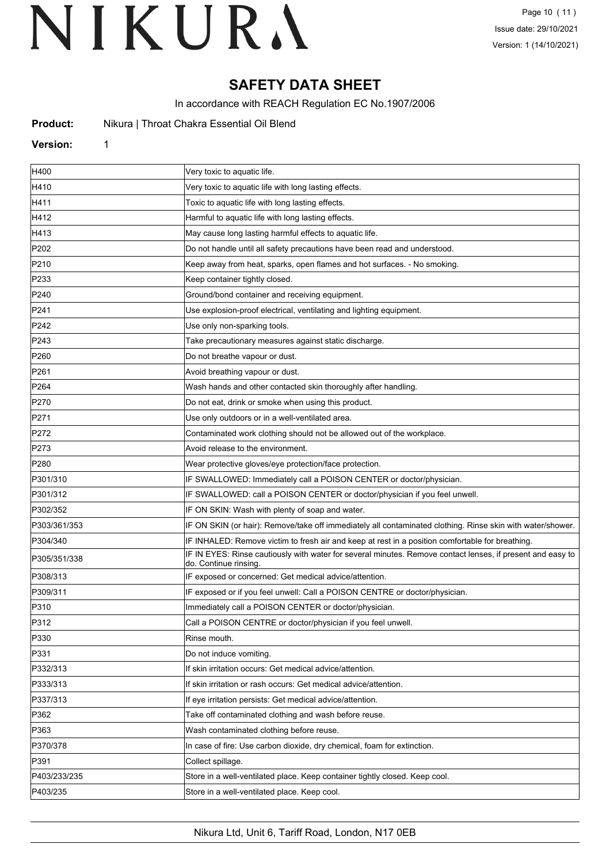## **SAFETY DATA SHEET**

In accordance with REACH Regulation EC No.1907/2006

| Product: |  | Nikura   Throat Chakra Essential Oil Blend |  |  |
|----------|--|--------------------------------------------|--|--|
|----------|--|--------------------------------------------|--|--|

#### **Version:** 1

| H400             | Very toxic to aquatic life.                                                                                                         |
|------------------|-------------------------------------------------------------------------------------------------------------------------------------|
| H410             | Very toxic to aquatic life with long lasting effects.                                                                               |
| H411             | Toxic to aquatic life with long lasting effects.                                                                                    |
| H412             | Harmful to aquatic life with long lasting effects.                                                                                  |
| H413             | May cause long lasting harmful effects to aquatic life.                                                                             |
| P <sub>202</sub> | Do not handle until all safety precautions have been read and understood.                                                           |
| P210             | Keep away from heat, sparks, open flames and hot surfaces. - No smoking.                                                            |
| P233             | Keep container tightly closed.                                                                                                      |
| P240             | Ground/bond container and receiving equipment.                                                                                      |
| P241             | Use explosion-proof electrical, ventilating and lighting equipment.                                                                 |
| P242             | Use only non-sparking tools.                                                                                                        |
| P243             | Take precautionary measures against static discharge.                                                                               |
| P <sub>260</sub> | Do not breathe vapour or dust.                                                                                                      |
| P261             | Avoid breathing vapour or dust.                                                                                                     |
| P <sub>264</sub> | Wash hands and other contacted skin thoroughly after handling.                                                                      |
| P270             | Do not eat, drink or smoke when using this product.                                                                                 |
| P271             | Use only outdoors or in a well-ventilated area.                                                                                     |
| P272             | Contaminated work clothing should not be allowed out of the workplace.                                                              |
| P273             | Avoid release to the environment.                                                                                                   |
| P280             | Wear protective gloves/eye protection/face protection.                                                                              |
| P301/310         | IF SWALLOWED: Immediately call a POISON CENTER or doctor/physician.                                                                 |
| P301/312         | IF SWALLOWED: call a POISON CENTER or doctor/physician if you feel unwell.                                                          |
| P302/352         | IF ON SKIN: Wash with plenty of soap and water.                                                                                     |
| P303/361/353     | IF ON SKIN (or hair): Remove/take off immediately all contaminated clothing. Rinse skin with water/shower.                          |
| P304/340         | IF INHALED: Remove victim to fresh air and keep at rest in a position comfortable for breathing.                                    |
| P305/351/338     | IF IN EYES: Rinse cautiously with water for several minutes. Remove contact lenses, if present and easy to<br>do. Continue rinsing. |
| P308/313         | IF exposed or concerned: Get medical advice/attention.                                                                              |
| P309/311         | IF exposed or if you feel unwell: Call a POISON CENTRE or doctor/physician.                                                         |
| P310             | Immediately call a POISON CENTER or doctor/physician.                                                                               |
| P312             | Call a POISON CENTRE or doctor/physician if you feel unwell.                                                                        |
| P330             | Rinse mouth.                                                                                                                        |
| P331             | Do not induce vomiting.                                                                                                             |
| P332/313         | If skin irritation occurs: Get medical advice/attention.                                                                            |
| P333/313         | If skin irritation or rash occurs: Get medical advice/attention.                                                                    |
| P337/313         | If eye irritation persists: Get medical advice/attention.                                                                           |
| P362             | Take off contaminated clothing and wash before reuse.                                                                               |
| P363             | Wash contaminated clothing before reuse.                                                                                            |
| P370/378         | In case of fire: Use carbon dioxide, dry chemical, foam for extinction.                                                             |
| P391             | Collect spillage.                                                                                                                   |
| P403/233/235     | Store in a well-ventilated place. Keep container tightly closed. Keep cool.                                                         |
| P403/235         | Store in a well-ventilated place. Keep cool.                                                                                        |